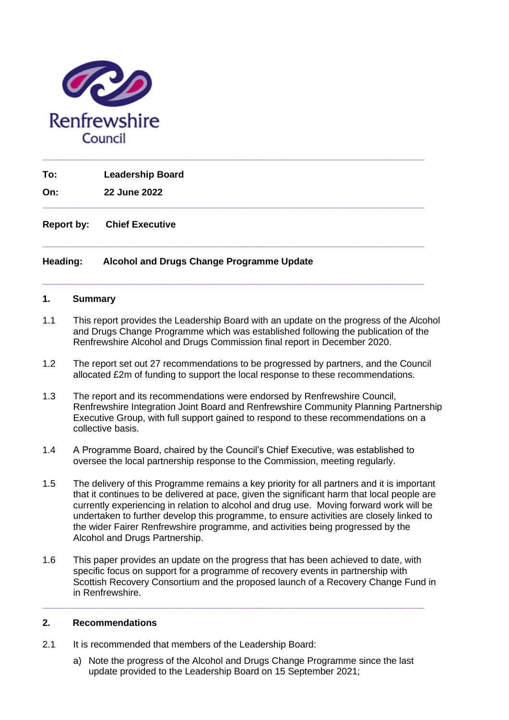

**To: Leadership Board**

**On: 22 June 2022**

**Report by: Chief Executive** 

## **Heading: Alcohol and Drugs Change Programme Update**

### **1. Summary**

1.1 This report provides the Leadership Board with an update on the progress of the Alcohol and Drugs Change Programme which was established following the publication of the Renfrewshire Alcohol and Drugs Commission final report in December 2020.

**\_\_\_\_\_\_\_\_\_\_\_\_\_\_\_\_\_\_\_\_\_\_\_\_\_\_\_\_\_\_\_\_\_\_\_\_\_\_\_\_\_\_\_\_\_\_\_\_\_\_\_\_\_\_\_\_\_\_\_\_\_\_\_\_\_\_\_**

**\_\_\_\_\_\_\_\_\_\_\_\_\_\_\_\_\_\_\_\_\_\_\_\_\_\_\_\_\_\_\_\_\_\_\_\_\_\_\_\_\_\_\_\_\_\_\_\_\_\_\_\_\_\_\_\_\_\_\_\_\_\_\_\_\_\_\_**

**\_\_\_\_\_\_\_\_\_\_\_\_\_\_\_\_\_\_\_\_\_\_\_\_\_\_\_\_\_\_\_\_\_\_\_\_\_\_\_\_\_\_\_\_\_\_\_\_\_\_\_\_\_\_\_\_\_\_\_\_\_\_\_\_\_\_\_**

**\_\_\_\_\_\_\_\_\_\_\_\_\_\_\_\_\_\_\_\_\_\_\_\_\_\_\_\_\_\_\_\_\_\_\_\_\_\_\_\_\_\_\_\_\_\_\_\_\_\_\_\_\_\_\_\_\_\_\_\_\_\_\_\_\_\_\_**

- 1.2 The report set out 27 recommendations to be progressed by partners, and the Council allocated £2m of funding to support the local response to these recommendations.
- 1.3 The report and its recommendations were endorsed by Renfrewshire Council, Renfrewshire Integration Joint Board and Renfrewshire Community Planning Partnership Executive Group, with full support gained to respond to these recommendations on a collective basis.
- 1.4 A Programme Board, chaired by the Council's Chief Executive, was established to oversee the local partnership response to the Commission, meeting regularly.
- 1.5 The delivery of this Programme remains a key priority for all partners and it is important that it continues to be delivered at pace, given the significant harm that local people are currently experiencing in relation to alcohol and drug use. Moving forward work will be undertaken to further develop this programme, to ensure activities are closely linked to the wider Fairer Renfrewshire programme, and activities being progressed by the Alcohol and Drugs Partnership.
- 1.6 This paper provides an update on the progress that has been achieved to date, with specific focus on support for a programme of recovery events in partnership with Scottish Recovery Consortium and the proposed launch of a Recovery Change Fund in in Renfrewshire.

**\_\_\_\_\_\_\_\_\_\_\_\_\_\_\_\_\_\_\_\_\_\_\_\_\_\_\_\_\_\_\_\_\_\_\_\_\_\_\_\_\_\_\_\_\_\_\_\_\_\_\_\_\_\_\_\_\_\_\_\_\_\_\_\_\_\_\_**

### **2. Recommendations**

- 2.1 It is recommended that members of the Leadership Board:
	- a) Note the progress of the Alcohol and Drugs Change Programme since the last update provided to the Leadership Board on 15 September 2021;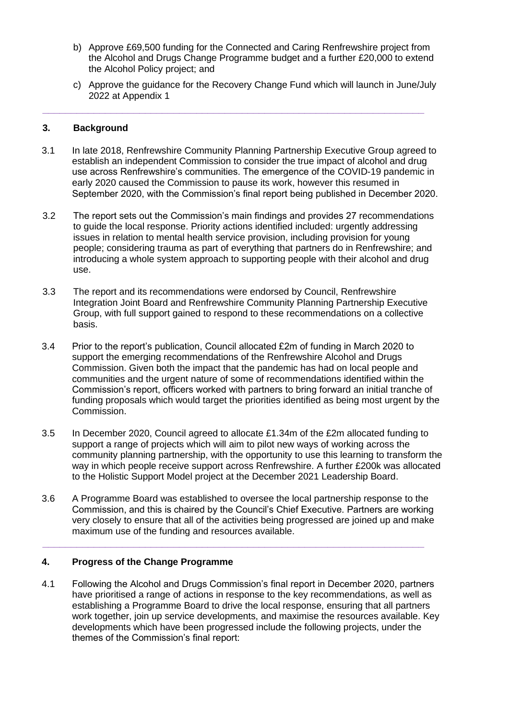- b) Approve £69,500 funding for the Connected and Caring Renfrewshire project from the Alcohol and Drugs Change Programme budget and a further £20,000 to extend the Alcohol Policy project; and
- c) Approve the guidance for the Recovery Change Fund which will launch in June/July 2022 at Appendix 1

### **3. Background**

3.1 In late 2018, Renfrewshire Community Planning Partnership Executive Group agreed to establish an independent Commission to consider the true impact of alcohol and drug use across Renfrewshire's communities. The emergence of the COVID-19 pandemic in early 2020 caused the Commission to pause its work, however this resumed in September 2020, with the Commission's final report being published in December 2020.

**\_\_\_\_\_\_\_\_\_\_\_\_\_\_\_\_\_\_\_\_\_\_\_\_\_\_\_\_\_\_\_\_\_\_\_\_\_\_\_\_\_\_\_\_\_\_\_\_\_\_\_\_\_\_\_\_\_\_\_\_\_\_\_\_\_\_\_**

- 3.2 The report sets out the Commission's main findings and provides 27 recommendations to guide the local response. Priority actions identified included: urgently addressing issues in relation to mental health service provision, including provision for young people; considering trauma as part of everything that partners do in Renfrewshire; and introducing a whole system approach to supporting people with their alcohol and drug use.
- 3.3 The report and its recommendations were endorsed by Council, Renfrewshire Integration Joint Board and Renfrewshire Community Planning Partnership Executive Group, with full support gained to respond to these recommendations on a collective basis.
- 3.4 Prior to the report's publication, Council allocated £2m of funding in March 2020 to support the emerging recommendations of the Renfrewshire Alcohol and Drugs Commission. Given both the impact that the pandemic has had on local people and communities and the urgent nature of some of recommendations identified within the Commission's report, officers worked with partners to bring forward an initial tranche of funding proposals which would target the priorities identified as being most urgent by the Commission.
- 3.5 In December 2020, Council agreed to allocate £1.34m of the £2m allocated funding to support a range of projects which will aim to pilot new ways of working across the community planning partnership, with the opportunity to use this learning to transform the way in which people receive support across Renfrewshire. A further £200k was allocated to the Holistic Support Model project at the December 2021 Leadership Board.
- 3.6 A Programme Board was established to oversee the local partnership response to the Commission, and this is chaired by the Council's Chief Executive. Partners are working very closely to ensure that all of the activities being progressed are joined up and make maximum use of the funding and resources available.

**\_\_\_\_\_\_\_\_\_\_\_\_\_\_\_\_\_\_\_\_\_\_\_\_\_\_\_\_\_\_\_\_\_\_\_\_\_\_\_\_\_\_\_\_\_\_\_\_\_\_\_\_\_\_\_\_\_\_\_\_\_\_\_\_\_\_\_**

## **4. Progress of the Change Programme**

4.1 Following the Alcohol and Drugs Commission's final report in December 2020, partners have prioritised a range of actions in response to the key recommendations, as well as establishing a Programme Board to drive the local response, ensuring that all partners work together, join up service developments, and maximise the resources available. Key developments which have been progressed include the following projects, under the themes of the Commission's final report: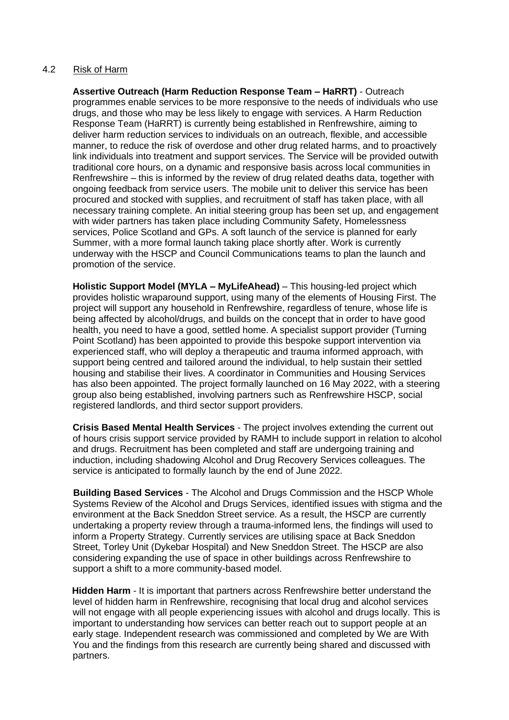### 4.2 Risk of Harm

**Assertive Outreach (Harm Reduction Response Team – HaRRT)** - Outreach programmes enable services to be more responsive to the needs of individuals who use drugs, and those who may be less likely to engage with services. A Harm Reduction Response Team (HaRRT) is currently being established in Renfrewshire, aiming to deliver harm reduction services to individuals on an outreach, flexible, and accessible manner, to reduce the risk of overdose and other drug related harms, and to proactively link individuals into treatment and support services. The Service will be provided outwith traditional core hours, on a dynamic and responsive basis across local communities in Renfrewshire – this is informed by the review of drug related deaths data, together with ongoing feedback from service users. The mobile unit to deliver this service has been procured and stocked with supplies, and recruitment of staff has taken place, with all necessary training complete. An initial steering group has been set up, and engagement with wider partners has taken place including Community Safety, Homelessness services, Police Scotland and GPs. A soft launch of the service is planned for early Summer, with a more formal launch taking place shortly after. Work is currently underway with the HSCP and Council Communications teams to plan the launch and promotion of the service.

**Holistic Support Model (MYLA – MyLifeAhead)** – This housing-led project which provides holistic wraparound support, using many of the elements of Housing First. The project will support any household in Renfrewshire, regardless of tenure, whose life is being affected by alcohol/drugs, and builds on the concept that in order to have good health, you need to have a good, settled home. A specialist support provider (Turning Point Scotland) has been appointed to provide this bespoke support intervention via experienced staff, who will deploy a therapeutic and trauma informed approach, with support being centred and tailored around the individual, to help sustain their settled housing and stabilise their lives. A coordinator in Communities and Housing Services has also been appointed. The project formally launched on 16 May 2022, with a steering group also being established, involving partners such as Renfrewshire HSCP, social registered landlords, and third sector support providers.

**Crisis Based Mental Health Services** - The project involves extending the current out of hours crisis support service provided by RAMH to include support in relation to alcohol and drugs. Recruitment has been completed and staff are undergoing training and induction, including shadowing Alcohol and Drug Recovery Services colleagues. The service is anticipated to formally launch by the end of June 2022.

**Building Based Services** - The Alcohol and Drugs Commission and the HSCP Whole Systems Review of the Alcohol and Drugs Services, identified issues with stigma and the environment at the Back Sneddon Street service. As a result, the HSCP are currently undertaking a property review through a trauma-informed lens, the findings will used to inform a Property Strategy. Currently services are utilising space at Back Sneddon Street, Torley Unit (Dykebar Hospital) and New Sneddon Street. The HSCP are also considering expanding the use of space in other buildings across Renfrewshire to support a shift to a more community-based model.

**Hidden Harm** - It is important that partners across Renfrewshire better understand the level of hidden harm in Renfrewshire, recognising that local drug and alcohol services will not engage with all people experiencing issues with alcohol and drugs locally. This is important to understanding how services can better reach out to support people at an early stage. Independent research was commissioned and completed by We are With You and the findings from this research are currently being shared and discussed with partners.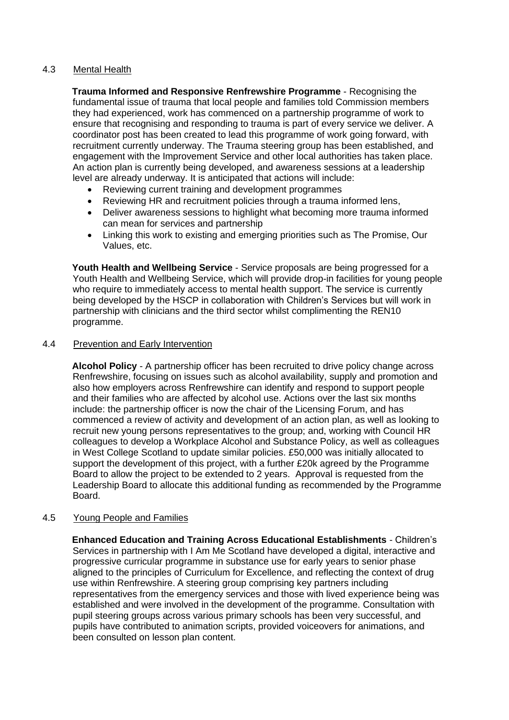## 4.3 Mental Health

**Trauma Informed and Responsive Renfrewshire Programme** - Recognising the fundamental issue of trauma that local people and families told Commission members they had experienced, work has commenced on a partnership programme of work to ensure that recognising and responding to trauma is part of every service we deliver. A coordinator post has been created to lead this programme of work going forward, with recruitment currently underway. The Trauma steering group has been established, and engagement with the Improvement Service and other local authorities has taken place. An action plan is currently being developed, and awareness sessions at a leadership level are already underway. It is anticipated that actions will include:

- Reviewing current training and development programmes
- Reviewing HR and recruitment policies through a trauma informed lens,
- Deliver awareness sessions to highlight what becoming more trauma informed can mean for services and partnership
- Linking this work to existing and emerging priorities such as The Promise, Our Values, etc.

**Youth Health and Wellbeing Service** - Service proposals are being progressed for a Youth Health and Wellbeing Service, which will provide drop-in facilities for young people who require to immediately access to mental health support. The service is currently being developed by the HSCP in collaboration with Children's Services but will work in partnership with clinicians and the third sector whilst complimenting the REN10 programme.

## 4.4 Prevention and Early Intervention

**Alcohol Policy** - A partnership officer has been recruited to drive policy change across Renfrewshire, focusing on issues such as alcohol availability, supply and promotion and also how employers across Renfrewshire can identify and respond to support people and their families who are affected by alcohol use. Actions over the last six months include: the partnership officer is now the chair of the Licensing Forum, and has commenced a review of activity and development of an action plan, as well as looking to recruit new young persons representatives to the group; and, working with Council HR colleagues to develop a Workplace Alcohol and Substance Policy, as well as colleagues in West College Scotland to update similar policies. £50,000 was initially allocated to support the development of this project, with a further £20k agreed by the Programme Board to allow the project to be extended to 2 years. Approval is requested from the Leadership Board to allocate this additional funding as recommended by the Programme Board.

## 4.5 Young People and Families

**Enhanced Education and Training Across Educational Establishments** - Children's Services in partnership with I Am Me Scotland have developed a digital, interactive and progressive curricular programme in substance use for early years to senior phase aligned to the principles of Curriculum for Excellence, and reflecting the context of drug use within Renfrewshire. A steering group comprising key partners including representatives from the emergency services and those with lived experience being was established and were involved in the development of the programme. Consultation with pupil steering groups across various primary schools has been very successful, and pupils have contributed to animation scripts, provided voiceovers for animations, and been consulted on lesson plan content.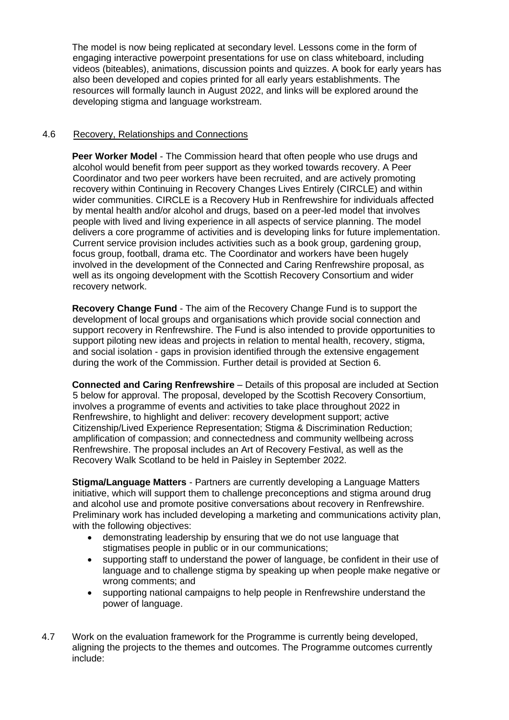The model is now being replicated at secondary level. Lessons come in the form of engaging interactive powerpoint presentations for use on class whiteboard, including videos (biteables), animations, discussion points and quizzes. A book for early years has also been developed and copies printed for all early years establishments. The resources will formally launch in August 2022, and links will be explored around the developing stigma and language workstream.

## 4.6 Recovery, Relationships and Connections

**Peer Worker Model** - The Commission heard that often people who use drugs and alcohol would benefit from peer support as they worked towards recovery. A Peer Coordinator and two peer workers have been recruited, and are actively promoting recovery within Continuing in Recovery Changes Lives Entirely (CIRCLE) and within wider communities. CIRCLE is a Recovery Hub in Renfrewshire for individuals affected by mental health and/or alcohol and drugs, based on a peer-led model that involves people with lived and living experience in all aspects of service planning. The model delivers a core programme of activities and is developing links for future implementation. Current service provision includes activities such as a book group, gardening group, focus group, football, drama etc. The Coordinator and workers have been hugely involved in the development of the Connected and Caring Renfrewshire proposal, as well as its ongoing development with the Scottish Recovery Consortium and wider recovery network.

**Recovery Change Fund** - The aim of the Recovery Change Fund is to support the development of local groups and organisations which provide social connection and support recovery in Renfrewshire. The Fund is also intended to provide opportunities to support piloting new ideas and projects in relation to mental health, recovery, stigma, and social isolation - gaps in provision identified through the extensive engagement during the work of the Commission. Further detail is provided at Section 6.

**Connected and Caring Renfrewshire** – Details of this proposal are included at Section 5 below for approval. The proposal, developed by the Scottish Recovery Consortium, involves a programme of events and activities to take place throughout 2022 in Renfrewshire, to highlight and deliver: recovery development support; active Citizenship/Lived Experience Representation; Stigma & Discrimination Reduction; amplification of compassion; and connectedness and community wellbeing across Renfrewshire. The proposal includes an Art of Recovery Festival, as well as the Recovery Walk Scotland to be held in Paisley in September 2022.

**Stigma/Language Matters** - Partners are currently developing a Language Matters initiative, which will support them to challenge preconceptions and stigma around drug and alcohol use and promote positive conversations about recovery in Renfrewshire. Preliminary work has included developing a marketing and communications activity plan, with the following objectives:

- demonstrating leadership by ensuring that we do not use language that stigmatises people in public or in our communications;
- supporting staff to understand the power of language, be confident in their use of language and to challenge stigma by speaking up when people make negative or wrong comments; and
- supporting national campaigns to help people in Renfrewshire understand the power of language.
- 4.7 Work on the evaluation framework for the Programme is currently being developed, aligning the projects to the themes and outcomes. The Programme outcomes currently include: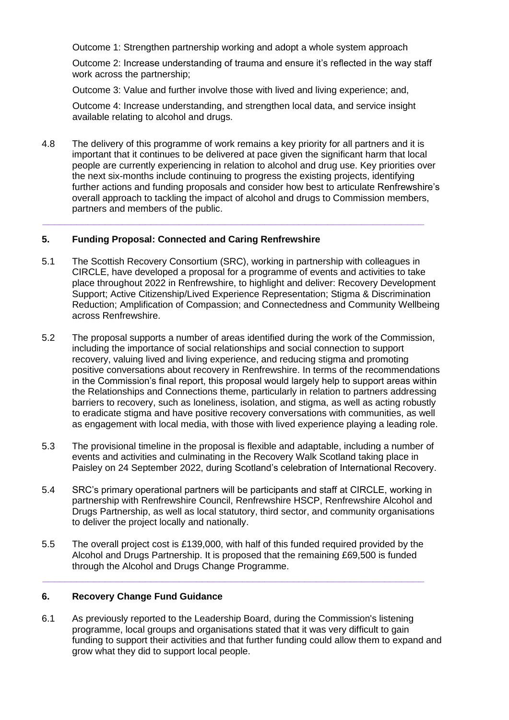Outcome 1: Strengthen partnership working and adopt a whole system approach

Outcome 2: Increase understanding of trauma and ensure it's reflected in the way staff work across the partnership;

Outcome 3: Value and further involve those with lived and living experience; and,

Outcome 4: Increase understanding, and strengthen local data, and service insight available relating to alcohol and drugs.

4.8 The delivery of this programme of work remains a key priority for all partners and it is important that it continues to be delivered at pace given the significant harm that local people are currently experiencing in relation to alcohol and drug use. Key priorities over the next six-months include continuing to progress the existing projects, identifying further actions and funding proposals and consider how best to articulate Renfrewshire's overall approach to tackling the impact of alcohol and drugs to Commission members, partners and members of the public.

**\_\_\_\_\_\_\_\_\_\_\_\_\_\_\_\_\_\_\_\_\_\_\_\_\_\_\_\_\_\_\_\_\_\_\_\_\_\_\_\_\_\_\_\_\_\_\_\_\_\_\_\_\_\_\_\_\_\_\_\_\_\_\_\_\_\_\_**

## **5. Funding Proposal: Connected and Caring Renfrewshire**

- 5.1 The Scottish Recovery Consortium (SRC), working in partnership with colleagues in CIRCLE, have developed a proposal for a programme of events and activities to take place throughout 2022 in Renfrewshire, to highlight and deliver: Recovery Development Support; Active Citizenship/Lived Experience Representation; Stigma & Discrimination Reduction; Amplification of Compassion; and Connectedness and Community Wellbeing across Renfrewshire.
- 5.2 The proposal supports a number of areas identified during the work of the Commission, including the importance of social relationships and social connection to support recovery, valuing lived and living experience, and reducing stigma and promoting positive conversations about recovery in Renfrewshire. In terms of the recommendations in the Commission's final report, this proposal would largely help to support areas within the Relationships and Connections theme, particularly in relation to partners addressing barriers to recovery, such as loneliness, isolation, and stigma, as well as acting robustly to eradicate stigma and have positive recovery conversations with communities, as well as engagement with local media, with those with lived experience playing a leading role.
- 5.3 The provisional timeline in the proposal is flexible and adaptable, including a number of events and activities and culminating in the Recovery Walk Scotland taking place in Paisley on 24 September 2022, during Scotland's celebration of International Recovery.
- 5.4 SRC's primary operational partners will be participants and staff at CIRCLE, working in partnership with Renfrewshire Council, Renfrewshire HSCP, Renfrewshire Alcohol and Drugs Partnership, as well as local statutory, third sector, and community organisations to deliver the project locally and nationally.
- 5.5 The overall project cost is £139,000, with half of this funded required provided by the Alcohol and Drugs Partnership. It is proposed that the remaining £69,500 is funded through the Alcohol and Drugs Change Programme.

**\_\_\_\_\_\_\_\_\_\_\_\_\_\_\_\_\_\_\_\_\_\_\_\_\_\_\_\_\_\_\_\_\_\_\_\_\_\_\_\_\_\_\_\_\_\_\_\_\_\_\_\_\_\_\_\_\_\_\_\_\_\_\_\_\_\_\_**

## **6. Recovery Change Fund Guidance**

6.1 As previously reported to the Leadership Board, during the Commission's listening programme, local groups and organisations stated that it was very difficult to gain funding to support their activities and that further funding could allow them to expand and grow what they did to support local people.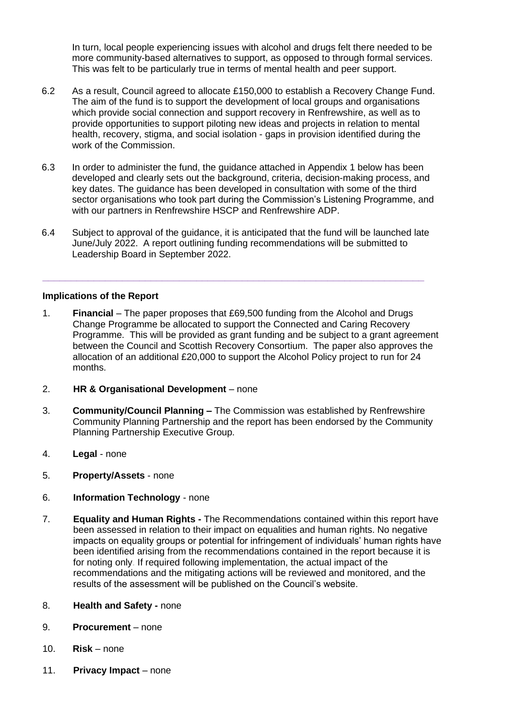In turn, local people experiencing issues with alcohol and drugs felt there needed to be more community-based alternatives to support, as opposed to through formal services. This was felt to be particularly true in terms of mental health and peer support.

- 6.2 As a result, Council agreed to allocate £150,000 to establish a Recovery Change Fund. The aim of the fund is to support the development of local groups and organisations which provide social connection and support recovery in Renfrewshire, as well as to provide opportunities to support piloting new ideas and projects in relation to mental health, recovery, stigma, and social isolation - gaps in provision identified during the work of the Commission.
- 6.3 In order to administer the fund, the guidance attached in Appendix 1 below has been developed and clearly sets out the background, criteria, decision-making process, and key dates. The guidance has been developed in consultation with some of the third sector organisations who took part during the Commission's Listening Programme, and with our partners in Renfrewshire HSCP and Renfrewshire ADP.
- 6.4 Subject to approval of the guidance, it is anticipated that the fund will be launched late June/July 2022. A report outlining funding recommendations will be submitted to Leadership Board in September 2022.

**\_\_\_\_\_\_\_\_\_\_\_\_\_\_\_\_\_\_\_\_\_\_\_\_\_\_\_\_\_\_\_\_\_\_\_\_\_\_\_\_\_\_\_\_\_\_\_\_\_\_\_\_\_\_\_\_\_\_\_\_\_\_\_\_\_\_\_**

### **Implications of the Report**

- 1. **Financial**  The paper proposes that £69,500 funding from the Alcohol and Drugs Change Programme be allocated to support the Connected and Caring Recovery Programme. This will be provided as grant funding and be subject to a grant agreement between the Council and Scottish Recovery Consortium. The paper also approves the allocation of an additional £20,000 to support the Alcohol Policy project to run for 24 months.
- 2. **HR & Organisational Development**  none
- 3. **Community/Council Planning –** The Commission was established by Renfrewshire Community Planning Partnership and the report has been endorsed by the Community Planning Partnership Executive Group.
- 4. **Legal**  none
- 5. **Property/Assets**  none
- 6. **Information Technology**  none
- 7. **Equality and Human Rights -** The Recommendations contained within this report have been assessed in relation to their impact on equalities and human rights. No negative impacts on equality groups or potential for infringement of individuals' human rights have been identified arising from the recommendations contained in the report because it is for noting only. If required following implementation, the actual impact of the recommendations and the mitigating actions will be reviewed and monitored, and the results of the assessment will be published on the Council's website.
- 8. **Health and Safety -** none
- 9. **Procurement**  none
- 10. **Risk**  none
- 11. **Privacy Impact**  none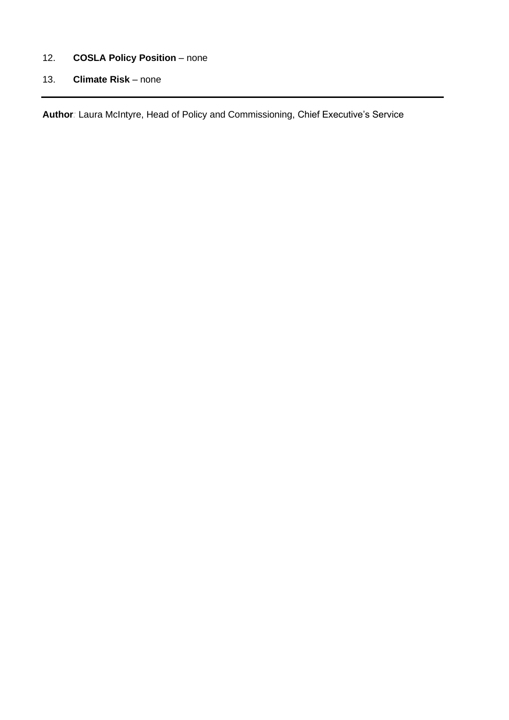# 12. **COSLA Policy Position** – none

13. **Climate Risk** – none

**Author***:* Laura McIntyre, Head of Policy and Commissioning, Chief Executive's Service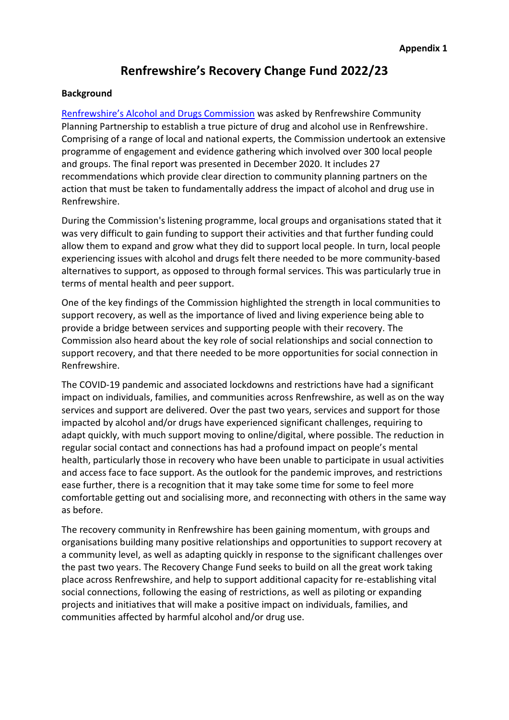# **Renfrewshire's Recovery Change Fund 2022/23**

### **Background**

[Renfrewshire's Alcohol and Drugs Commission](https://www.renfrewshire.gov.uk/article/9637/Alcohol-and-Drugs-Commission) was asked by Renfrewshire Community Planning Partnership to establish a true picture of drug and alcohol use in Renfrewshire. Comprising of a range of local and national experts, the Commission undertook an extensive programme of engagement and evidence gathering which involved over 300 local people and groups. The final report was presented in December 2020. It includes 27 recommendations which provide clear direction to community planning partners on the action that must be taken to fundamentally address the impact of alcohol and drug use in Renfrewshire.

During the Commission's listening programme, local groups and organisations stated that it was very difficult to gain funding to support their activities and that further funding could allow them to expand and grow what they did to support local people. In turn, local people experiencing issues with alcohol and drugs felt there needed to be more community-based alternatives to support, as opposed to through formal services. This was particularly true in terms of mental health and peer support.

One of the key findings of the Commission highlighted the strength in local communities to support recovery, as well as the importance of lived and living experience being able to provide a bridge between services and supporting people with their recovery. The Commission also heard about the key role of social relationships and social connection to support recovery, and that there needed to be more opportunities for social connection in Renfrewshire.

The COVID-19 pandemic and associated lockdowns and restrictions have had a significant impact on individuals, families, and communities across Renfrewshire, as well as on the way services and support are delivered. Over the past two years, services and support for those impacted by alcohol and/or drugs have experienced significant challenges, requiring to adapt quickly, with much support moving to online/digital, where possible. The reduction in regular social contact and connections has had a profound impact on people's mental health, particularly those in recovery who have been unable to participate in usual activities and access face to face support. As the outlook for the pandemic improves, and restrictions ease further, there is a recognition that it may take some time for some to feel more comfortable getting out and socialising more, and reconnecting with others in the same way as before.

The recovery community in Renfrewshire has been gaining momentum, with groups and organisations building many positive relationships and opportunities to support recovery at a community level, as well as adapting quickly in response to the significant challenges over the past two years. The Recovery Change Fund seeks to build on all the great work taking place across Renfrewshire, and help to support additional capacity for re-establishing vital social connections, following the easing of restrictions, as well as piloting or expanding projects and initiatives that will make a positive impact on individuals, families, and communities affected by harmful alcohol and/or drug use.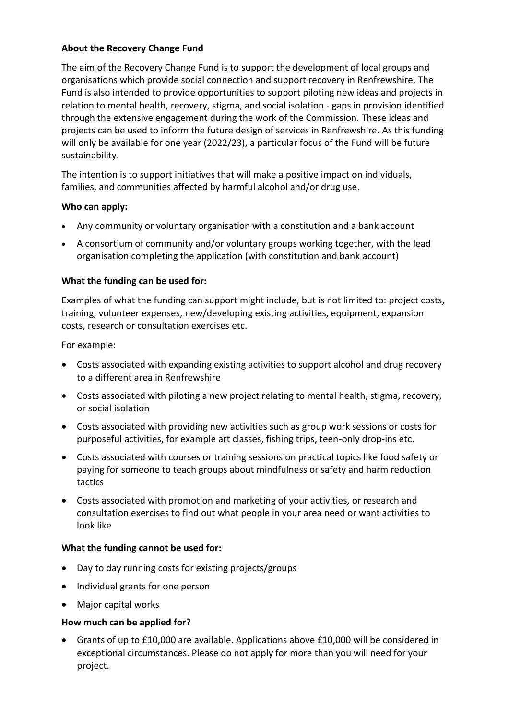# **About the Recovery Change Fund**

The aim of the Recovery Change Fund is to support the development of local groups and organisations which provide social connection and support recovery in Renfrewshire. The Fund is also intended to provide opportunities to support piloting new ideas and projects in relation to mental health, recovery, stigma, and social isolation - gaps in provision identified through the extensive engagement during the work of the Commission. These ideas and projects can be used to inform the future design of services in Renfrewshire. As this funding will only be available for one year (2022/23), a particular focus of the Fund will be future sustainability.

The intention is to support initiatives that will make a positive impact on individuals, families, and communities affected by harmful alcohol and/or drug use.

# **Who can apply:**

- Any community or voluntary organisation with a constitution and a bank account
- A consortium of community and/or voluntary groups working together, with the lead organisation completing the application (with constitution and bank account)

# **What the funding can be used for:**

Examples of what the funding can support might include, but is not limited to: project costs, training, volunteer expenses, new/developing existing activities, equipment, expansion costs, research or consultation exercises etc.

For example:

- Costs associated with expanding existing activities to support alcohol and drug recovery to a different area in Renfrewshire
- Costs associated with piloting a new project relating to mental health, stigma, recovery, or social isolation
- Costs associated with providing new activities such as group work sessions or costs for purposeful activities, for example art classes, fishing trips, teen-only drop-ins etc.
- Costs associated with courses or training sessions on practical topics like food safety or paying for someone to teach groups about mindfulness or safety and harm reduction tactics
- Costs associated with promotion and marketing of your activities, or research and consultation exercises to find out what people in your area need or want activities to look like

# **What the funding cannot be used for:**

- Day to day running costs for existing projects/groups
- Individual grants for one person
- Major capital works

# **How much can be applied for?**

• Grants of up to £10,000 are available. Applications above £10,000 will be considered in exceptional circumstances. Please do not apply for more than you will need for your project.